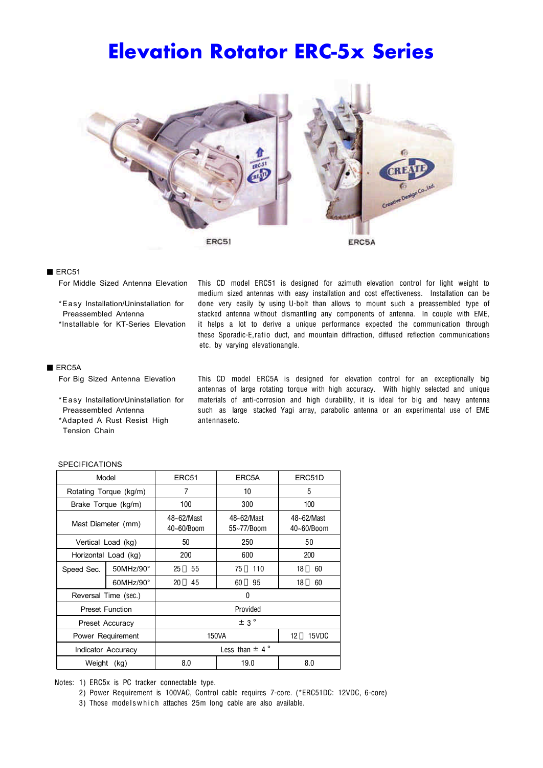# Elevation Rotator ERC-5x Series



### ERC51

For Middle Sized Antenna Elevation This CD model ERC51 is designed for azimuth elevation control for light weight to medium sized antennas with easy installation and cost effectiveness. Installation can be \*Easy Installation/Uninstallation for done very easily by using U-bolt than allows to mount such a preassembled type of Preassembled Antenna stacked antenna without dismantling any components of antenna. In couple with EME, \*Installable for KT-Series Elevation it helps a lot to derive a unique performance expected the communication through these Sporadic-E,ratio duct, and mountain diffraction, diffused reflection communications etc. by varying elevationangle.

### ERC5A

\*Adapted A Rust Resist High antennasetc. Tension Chain

For Big Sized Antenna Elevation This CD model ERC5A is designed for elevation control for an exceptionally big antennas of large rotating torque with high accuracy. With highly selected and unique \*Easy Installation/Uninstallation for materials of anti-corrosion and high durability, it is ideal for big and heavy antenna Preassembled Antenna such as large stacked Yagi array, parabolic antenna or an experimental use of EME

| Model                  |                      | ERC <sub>51</sub>        |     | ERC5A                    |      | ERC51D                   |     |
|------------------------|----------------------|--------------------------|-----|--------------------------|------|--------------------------|-----|
| Rotating Torque (kg/m) |                      | 7                        |     | 10                       |      | 5                        |     |
| Brake Torque (kg/m)    |                      | 100                      |     | 300                      |      | 100                      |     |
| Mast Diameter (mm)     |                      | 48~62/Mast<br>40~60/Boom |     | 48~62/Mast<br>55~77/Boom |      | 48~62/Mast<br>40~60/Boom |     |
| Vertical Load (kg)     |                      | 50                       |     | 250                      |      | 50                       |     |
| Horizontal Load (kg)   |                      | 200                      |     | 600                      |      | 200                      |     |
| Speed Sec.             | 50MHz/90°            | 25                       | 55  | 75                       | 110  | 18                       | 60  |
|                        | $60$ MHz/ $90^\circ$ | 20                       | 45  | 60                       | 95   | 18                       | 60  |
| Reversal Time (sec.)   |                      | 0                        |     |                          |      |                          |     |
| <b>Preset Function</b> |                      | Provided                 |     |                          |      |                          |     |
| Preset Accuracy        |                      | $\pm$ 3°                 |     |                          |      |                          |     |
| Power Requirement      |                      | 150VA                    |     |                          | 12   | 15VDC                    |     |
| Indicator Accuracy     |                      | Less than $\pm$ 4°       |     |                          |      |                          |     |
| Weight<br>(kg)         |                      |                          | 8.0 |                          | 19.0 |                          | 8.0 |

#### SPECIFICATIONS

Notes: 1) ERC5x is PC tracker connectable type.

2) Power Requirement is 100VAC, Control cable requires 7-core. (\*ERC51DC: 12VDC, 6-core)

3) Those models which attaches 25m long cable are also available.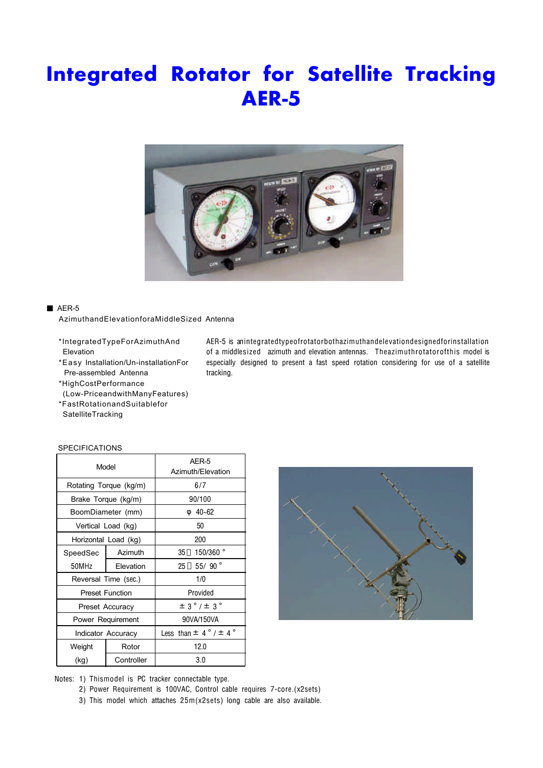# Integrated Rotator for Satellite Tracking AER-5



# AER-5

AzimuthandElevationforaMiddleSized Antenna

- 
- Pre-assembled Antenna tracking.
- \*HighCostPerformance (Low-PriceandwithManyFeatures)

\*FastRotationandSuitablefor

- 
- **SatelliteTracking**

### **SPECIFICATIONS**

|          | Model                  | AER-5<br>Azimuth/Elevation    |  |  |
|----------|------------------------|-------------------------------|--|--|
|          | Rotating Torque (kg/m) | 6/7                           |  |  |
|          | Brake Torque (kg/m)    | 90/100                        |  |  |
|          | BoomDiameter (mm)      | $40 - 62$                     |  |  |
|          | Vertical Load (kg)     | 50                            |  |  |
|          | Horizontal Load (kg)   | 200                           |  |  |
| SpeedSec | Azimuth                | 150/360 °<br>35               |  |  |
| 50MHz    | Elevation              | 55/90 $^{\circ}$<br>25        |  |  |
|          | Reversal Time (sec.)   | 1/0                           |  |  |
|          | <b>Preset Function</b> | Provided                      |  |  |
|          | Preset Accuracy        | $\pm$ 3°/ $\pm$ 3°            |  |  |
|          | Power Requirement      | 90VA/150VA                    |  |  |
|          | Indicator Accuracy     | Less than $\pm$ 4° / $\pm$ 4° |  |  |
| Weight   | Rotor                  | 12.0                          |  |  |
| (kg)     | Controller             | 3.0                           |  |  |



Notes: 1) Thismodel is PC tracker connectable type.

2) Power Requirement is 100VAC, Control cable requires 7-core.(x2sets)

3) This model which attaches 25m(x2sets) long cable are also available.

\*IntegratedTypeForAzimuthAnd AER-5 is anintegratedtypeofrotatorbothazimuthandelevationdesignedforinstallation Elevation of a middlesized azimuth and elevation antennas. Theazimuthrotatorofthis model is \*Easy Installation/Un-installationFor especially designed to present a fast speed rotation considering for use of a satellite